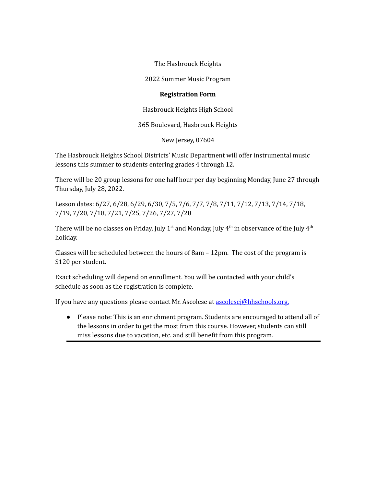The Hasbrouck Heights

2022 Summer Music Program

## **Registration Form**

Hasbrouck Heights High School

365 Boulevard, Hasbrouck Heights

New Jersey, 07604

The Hasbrouck Heights School Districts' Music Department will offer instrumental music lessons this summer to students entering grades 4 through 12.

There will be 20 group lessons for one half hour per day beginning Monday, June 27 through Thursday, July 28, 2022.

Lesson dates: 6/27, 6/28, 6/29, 6/30, 7/5, 7/6, 7/7, 7/8, 7/11, 7/12, 7/13, 7/14, 7/18, 7/19, 7/20, 7/18, 7/21, 7/25, 7/26, 7/27, 7/28

There will be no classes on Friday, July 1st and Monday, July  $4^{\rm th}$  in observance of the July  $4^{\rm th}$ holiday.

Classes will be scheduled between the hours of  $8am - 12pm$ . The cost of the program is \$120 per student.

Exact scheduling will depend on enrollment. You will be contacted with your child's schedule as soon as the registration is complete.

If you have any questions please contact Mr. Ascolese at [ascolesej@hhschools.org.](mailto:ascolesej@hhschools.org)

● Please note: This is an enrichment program. Students are encouraged to attend all of the lessons in order to get the most from this course. However, students can still miss lessons due to vacation, etc. and still benefit from this program.